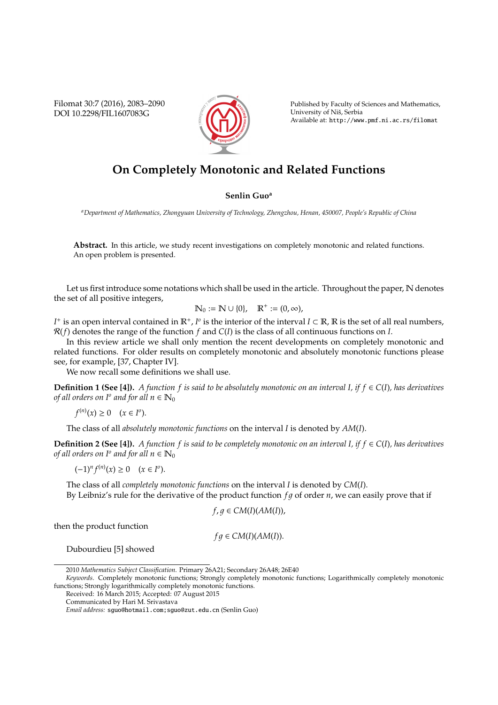Filomat 30:7 (2016), 2083–2090 DOI 10.2298/FIL1607083G



Published by Faculty of Sciences and Mathematics, University of Niš, Serbia Available at: http://www.pmf.ni.ac.rs/filomat

# **On Completely Monotonic and Related Functions**

## **Senlin Guo<sup>a</sup>**

*<sup>a</sup>Department of Mathematics, Zhongyuan University of Technology, Zhengzhou, Henan, 450007, People's Republic of China*

**Abstract.** In this article, we study recent investigations on completely monotonic and related functions. An open problem is presented.

Let us first introduce some notations which shall be used in the article. Throughout the paper, N denotes the set of all positive integers,

$$
\mathbb{N}_0 := \mathbb{N} \cup \{0\}, \quad \mathbb{R}^+ := (0, \infty),
$$

*I*<sup>+</sup> is an open interval contained in  $\mathbb{R}^+$ , *I*<sup>o</sup> is the interior of the interval *I* ⊂ R, R is the set of all real numbers, R(*f*) denotes the range of the function *f* and *C*(*I*) is the class of all continuous functions on *I*.

In this review article we shall only mention the recent developments on completely monotonic and related functions. For older results on completely monotonic and absolutely monotonic functions please see, for example, [37, Chapter IV].

We now recall some definitions we shall use.

**Definition 1 (See [4]).** *A function f is said to be absolutely monotonic on an interval I, if*  $f \in C(I)$ *, has derivatives of all orders on I*<sup>o</sup> and for all  $n \in \mathbb{N}_0$ 

 $f^{(n)}(x) \ge 0 \quad (x \in I^o).$ 

The class of all *absolutely monotonic functions* on the interval *I* is denoted by *AM*(*I*).

**Definition 2 (See [4]).** *A function f is said to be completely monotonic on an interval I, if*  $f \in C(I)$ *, has derivatives of all orders on I*<sup>o</sup> and for all  $n \in \mathbb{N}_0$ 

 $(-1)^n f^{(n)}(x) \ge 0$  (*x* ∈ *I*<sup>o</sup>).

The class of all *completely monotonic functions* on the interval *I* is denoted by *CM*(*I*). By Leibniz's rule for the derivative of the product function  $f\dot{q}$  of order  $n$ , we can easily prove that if

$$
f,g\in CM(I)(AM(I)),
$$

then the product function

$$
fg\in CM(I)(AM(I)).
$$

Dubourdieu [5] showed

<sup>2010</sup> *Mathematics Subject Classification*. Primary 26A21; Secondary 26A48; 26E40

*Keywords*. Completely monotonic functions; Strongly completely monotonic functions; Logarithmically completely monotonic functions; Strongly logarithmically completely monotonic functions.

Received: 16 March 2015; Accepted: 07 August 2015

Communicated by Hari M. Srivastava

*Email address:* sguo@hotmail.com;sguo@zut.edu.cn (Senlin Guo)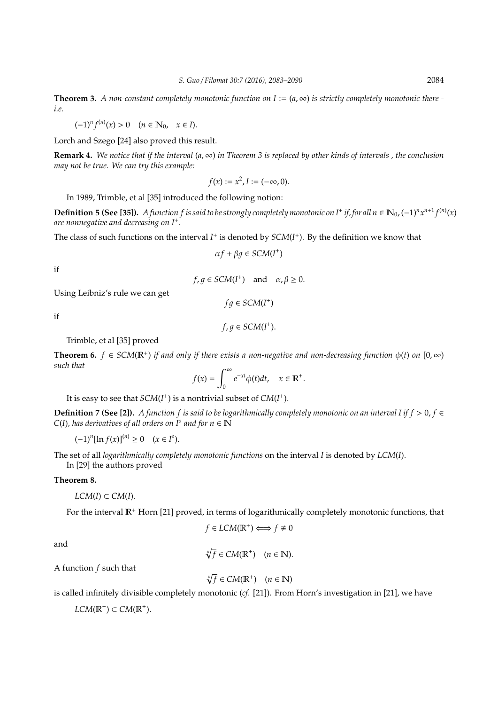**Theorem 3.** A non-constant completely monotonic function on  $I := (a, \infty)$  is strictly completely monotonic there *i.e.*

$$
(-1)^n f^{(n)}(x) > 0 \quad (n \in \mathbb{N}_0, \quad x \in I).
$$

Lorch and Szego [24] also proved this result.

**Remark 4.** *We notice that if the interval*  $(a, \infty)$  *in Theorem 3 is replaced by other kinds of intervals, the conclusion may not be true. We can try this example:*

$$
f(x) := x^2, I := (-\infty, 0).
$$

In 1989, Trimble, et al [35] introduced the following notion:

**Definition 5 (See [35]).** A function f is said to be strongly completely monotonic on  $I^+$  if, for all  $n \in \mathbb{N}_0$ ,  $(-1)^n x^{n+1} f^{(n)}(x)$ *are nonnegative and decreasing on I*<sup>+</sup> *.*

The class of such functions on the interval  $I^+$  is denoted by  $SCM(I^+)$ . By the definition we know that

$$
\alpha f + \beta g \in SCM(I^+)
$$

if

 $f, g \in SCM(I^+)$  and  $\alpha, \beta \geq 0$ .

Using Leibniz's rule we can get

if

$$
f, g \in SCM(I^+).
$$

 $fg \in SCM(I^+)$ 

Trimble, et al [35] proved

**Theorem 6.**  $f \in SCM(\mathbb{R}^+)$  *if and only if there exists a non-negative and non-decreasing function*  $\phi(t)$  *on*  $[0,\infty)$ *such that*

$$
f(x) = \int_0^\infty e^{-xt} \phi(t) dt, \quad x \in \mathbb{R}^+.
$$

It is easy to see that  $SCM(I^+)$  is a nontrivial subset of  $CM(I^+)$ .

**Definition 7 (See [2]).** *A function f is said to be logarithmically completely monotonic on an interval I if f* > 0, *f*  $\in$ *C*(*I*)*, has derivatives of all orders on I<sup>o</sup>* and for  $n \in \mathbb{N}$ 

 $(-1)^n [\ln f(x)]^{(n)} \ge 0$  (*x* ∈ *I*<sup>o</sup>).

The set of all *logarithmically completely monotonic functions* on the interval *I* is denoted by *LCM*(*I*). In [29] the authors proved

# **Theorem 8.**

$$
LCM(I)\subset CM(I).
$$

For the interval  $\mathbb{R}^+$  Horn [21] proved, in terms of logarithmically completely monotonic functions, that

$$
f \in LCM(\mathbb{R}^+) \Longleftrightarrow f \not\equiv 0
$$

and

$$
\sqrt[n]{f} \in CM(\mathbb{R}^+) \quad (n \in \mathbb{N}).
$$

A function *f* such that

$$
\sqrt[n]{f} \in CM(\mathbb{R}^+) \quad (n \in \mathbb{N})
$$

is called infinitely divisible completely monotonic (*cf.* [21]). From Horn's investigation in [21], we have

 $LCM(\mathbb{R}^+) \subset CM(\mathbb{R}^+).$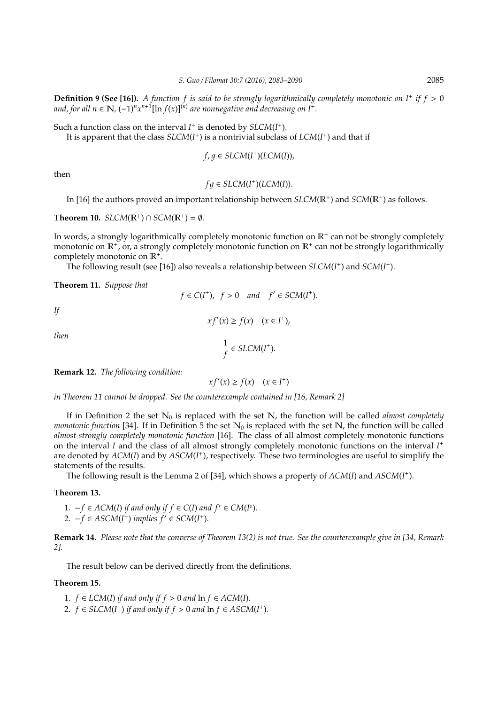**Definition 9 (See [16]).** A function f is said to be strongly logarithmically completely monotonic on  $I^+$  if  $f > 0$ *and, for all n* ∈  $\mathbb{N}$ , (−1)<sup>*n*</sup>x<sup>*n+1*</sup>[ln *f*(*x*)]<sup>(*n*)</sup> are nonnegative and decreasing on I<sup>+</sup>.

Such a function class on the interval  $I^+$  is denoted by *SLCM*( $I^+$ ).

It is apparent that the class  $SLCM(I<sup>+</sup>)$  is a nontrivial subclass of  $LCM(I<sup>+</sup>)$  and that if

$$
f, g \in SLCM(I^+)(LCM(I)),
$$

then

$$
fg \in SLCM(I^+)(LCM(I)).
$$

In [16] the authors proved an important relationship between  $SLCM(\mathbb{R}^+)$  and  $SCM(\mathbb{R}^+)$  as follows.

**Theorem 10.**  $SLCM(\mathbb{R}^+) \cap SCM(\mathbb{R}^+) = \emptyset$ .

In words, a strongly logarithmically completely monotonic function on  $\mathbb{R}^+$  can not be strongly completely monotonic on  $\mathbb{R}^+$ , or, a strongly completely monotonic function on  $\mathbb{R}^+$  can not be strongly logarithmically completely monotonic on  $\mathbb{R}^+$ .

The following result (see [16]) also reveals a relationship between *SLCM*(*I*<sup>+</sup>) and *SCM*(*I*<sup>+</sup>).

**Theorem 11.** *Suppose that*

$$
f \in C(I^+), \ f > 0 \quad and \quad f' \in SCM(I^+).
$$

*If*

*then*

$$
\frac{1}{f}\in SLCM(I^+).
$$

 $xf'(x) \ge f(x) \quad (x \in I^+),$ 

**Remark 12.** *The following condition:*

 $xf'(x) \ge f(x) \quad (x \in I^+)$ 

*in Theorem 11 cannot be dropped. See the counterexample contained in [16, Remark 2]*

If in Definition 2 the set  $\mathbb{N}_0$  is replaced with the set  $\mathbb{N}_r$ , the function will be called *almost completely monotonic function* [34]. If in Definition 5 the set  $\mathbb{N}_0$  is replaced with the set  $\mathbb{N}$ , the function will be called *almost strongly completely monotonic function* [16]. The class of all almost completely monotonic functions on the interval *I* and the class of all almost strongly completely monotonic functions on the interval *I* + are denoted by  $ACM(I)$  and by  $ASCM(I<sup>+</sup>)$ , respectively. These two terminologies are useful to simplify the statements of the results.

The following result is the Lemma 2 of [34], which shows a property of *ACM*(*I*) and *ASCM*(*I* + ).

#### **Theorem 13.**

- 1.  $-f ∈ ACM(I)$  *if and only if f* ∈  $C(I)$  *and f'* ∈  $CM(I^o)$ *.*
- 2.  $-f \in ASCM(I^+)$  *implies*  $f' \in SCM(I^+).$

**Remark 14.** *Please note that the converse of Theorem 13(2) is not true. See the counterexample give in [34, Remark 2].*

The result below can be derived directly from the definitions.

## **Theorem 15.**

- 1. *f* ∈ *LCM*(*I*) *if and only if f* > 0 *and*  $\ln f$  ∈ *ACM*(*I*).
- 2.  $f \in SLCM(I^+)$  *if and only if f* > 0 *and*  $\ln f \in ASCM(I^+)$ *.*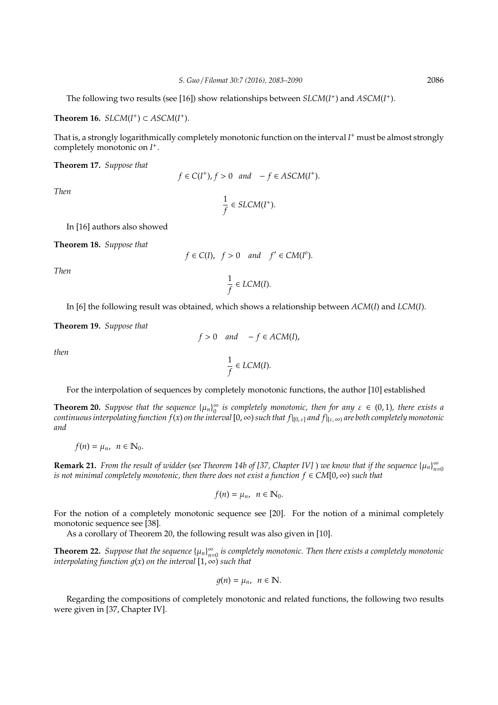The following two results (see [16]) show relationships between *SLCM*(*I*<sup>+</sup>) and *ASCM*(*I*<sup>+</sup>).

**Theorem 16.**  $SLCM(I^+) \subset ASCM(I^+).$ 

That is, a strongly logarithmically completely monotonic function on the interval I<sup>+</sup> must be almost strongly completely monotonic on *I* + .

**Theorem 17.** *Suppose that*

$$
f \in C(I^+), f > 0 \quad and \quad -f \in ASCII(I^+).
$$

*Then*

$$
\frac{1}{f} \in SLCM(I^+).
$$

In [16] authors also showed

**Theorem 18.** *Suppose that*

$$
f \in C(I)
$$
,  $f > 0$  and  $f' \in CM(I^o)$ .

*Then*

$$
\frac{1}{f}\in LCM(I).
$$

In [6] the following result was obtained, which shows a relationship between *ACM*(*I*) and *LCM*(*I*).

**Theorem 19.** *Suppose that*

$$
f > 0 \quad and \quad -f \in ACM(I),
$$

*then*

$$
\frac{1}{f}\in LCM(I).
$$

For the interpolation of sequences by completely monotonic functions, the author [10] established

**Theorem 20.** Suppose that the sequence  $\{\mu_n\}_0^{\infty}$  is completely monotonic, then for any  $\varepsilon \in (0,1)$ , there exists a 0 *continuous interpolating function f*(*x*) *on the interval* [0, ∞)*such that f*|[0, ε] *and f*|[ε, <sup>∞</sup>) *are both completely monotonic and*

$$
f(n)=\mu_n, \ \ n\in \mathbb{N}_0.
$$

**Remark 21.** From the result of widder (see Theorem 14b of [37, Chapter IV]) we know that if the sequence  $\{\mu_n\}_{n=1}^{\infty}$ *n*=0 *is not minimal completely monotonic, then there does not exist a function*  $f \in CM[0, \infty)$  *such that* 

$$
f(n)=\mu_n, \ \ n\in\mathbb{N}_0.
$$

For the notion of a completely monotonic sequence see [20]. For the notion of a minimal completely monotonic sequence see [38].

As a corollary of Theorem 20, the following result was also given in [10].

**Theorem 22.** *Suppose that the sequence*  $\{\mu_n\}_{n=1}^{\infty}$ *n*=0 *is completely monotonic. Then there exists a completely monotonic interpolating function*  $g(x)$  *on the interval*  $[1, \infty)$  *such that* 

$$
g(n) = \mu_n, \ \ n \in \mathbb{N}.
$$

Regarding the compositions of completely monotonic and related functions, the following two results were given in [37, Chapter IV].

$$
_{2086}
$$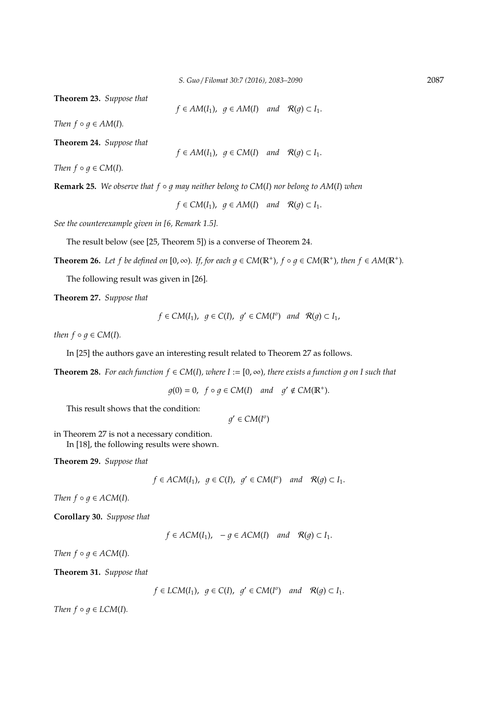**Theorem 23.** *Suppose that*

 $f \in AM(I_1)$ ,  $q \in AM(I)$  and  $R(q) \subset I_1$ .

*Then*  $f \circ q \in AM(I)$ *.* 

**Theorem 24.** *Suppose that*

$$
f \in AM(I_1)
$$
,  $g \in CM(I)$  and  $R(g) \subset I_1$ .

*Then*  $f \circ g \in CM(I)$ *.* 

**Remark 25.** We observe that  $f \circ q$  *may neither belong to CM(I) nor belong to AM(I) when* 

 $f \in CM(I_1)$ ,  $g \in AM(I)$  *and*  $R(g) \subset I_1$ .

*See the counterexample given in [6, Remark 1.5].*

The result below (see [25, Theorem 5]) is a converse of Theorem 24.

**Theorem 26.** Let f be defined on  $[0, \infty)$ . If, for each  $g \in CM(\mathbb{R}^+)$ ,  $f \circ g \in CM(\mathbb{R}^+)$ , then  $f \in AM(\mathbb{R}^+)$ .

The following result was given in [26].

**Theorem 27.** *Suppose that*

$$
f \in CM(I_1), g \in C(I), g' \in CM(I^o) \text{ and } R(g) \subset I_1,
$$

*then*  $f \circ q \in CM(I)$ *.* 

In [25] the authors gave an interesting result related to Theorem 27 as follows.

**Theorem 28.** *For each function*  $f$  ∈ *CM*(*I*)*, where*  $I := [0, ∞)$ *, there exists a function q on I such that* 

 $g(0) = 0$ ,  $f \circ g \in CM(I)$  and  $g' \notin CM(\mathbb{R}^+)$ .

This result shows that the condition:

 $g' \in CM(I^o)$ 

in Theorem 27 is not a necessary condition. In [18], the following results were shown.

**Theorem 29.** *Suppose that*

$$
f \in ACM(I_1), g \in C(I), g' \in CM(I^o)
$$
 and  $R(g) \subset I_1$ .

*Then*  $f \circ q \in ACM(I)$ *.* 

**Corollary 30.** *Suppose that*

 $f \in ACM(I_1), -q \in ACM(I)$  *and*  $R(q) \subset I_1.$ 

*Then*  $f \circ q \in ACM(I)$ *.* 

**Theorem 31.** *Suppose that*

$$
f \in LCM(I_1), g \in C(I), g' \in CM(I^o)
$$
 and  $\mathcal{R}(g) \subset I_1$ .

*Then*  $f \circ q \in LCM(I)$ *.*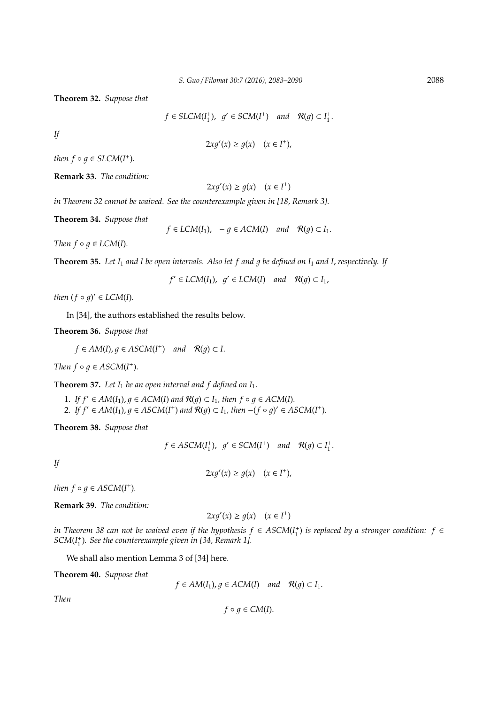**Theorem 32.** *Suppose that*

$$
f \in SLCM(I_1^+), g' \in SCM(I^+)
$$
 and  $\mathcal{R}(g) \subset I_1^+$ .

*If*

$$
2xg'(x) \ge g(x) \quad (x \in I^+),
$$

*then*  $f \circ g \in SLCM(I^+).$ 

**Remark 33.** *The condition:*

$$
2xg'(x) \ge g(x) \quad (x \in I^+)
$$

*in Theorem 32 cannot be waived. See the counterexample given in [18, Remark 3].*

**Theorem 34.** *Suppose that*

$$
f \in LCM(I_1)
$$
,  $-g \in ACM(I)$  and  $\mathcal{R}(g) \subset I_1$ .

*Then*  $f \circ q \in LCM(I)$ *.* 

**Theorem 35.** *Let I*<sup>1</sup> *and I be open intervals. Also let f and* 1 *be defined on I*<sup>1</sup> *and I*, *respectively. If*

 $f' \in LCM(I_1)$ ,  $g' \in LCM(I)$  and  $R(g) \subset I_1$ ,

 $then (f \circ g)' \in LCM(I).$ 

In [34], the authors established the results below.

**Theorem 36.** *Suppose that*

 $f \in AM(I), g \in ASCM(I^+)$  *and*  $R(g) \subset I.$ 

*Then*  $f \circ g \in ASCM(I^+).$ 

**Theorem 37.** Let  $I_1$  be an open interval and  $f$  defined on  $I_1$ .

1. *If*  $f' \in AM(I_1)$ ,  $q \in ACM(I)$  and  $R(q) \subset I_1$ , then  $f \circ q \in ACM(I)$ . 2. If  $f' \in AM(I_1), g \in ASCM(I^+)$  and  $R(g) \subset I_1$ , then  $-(f \circ g)' \in ASCM(I^+)$ .

**Theorem 38.** *Suppose that*

 $f \in ASCM(I_1^+), \ g' \in SCM(I^+) \text{ and } \mathcal{R}(g) \subset I_1^+.$ 

*If*

 $2xg'(x) \ge g(x) \quad (x \in I^+),$ 

*then*  $f \circ g \in ASCM(I^+).$ 

**Remark 39.** *The condition:*

$$
2xg'(x) \ge g(x) \quad (x \in I^+)
$$

*in Theorem 38 can not be waived even if the hypothesis*  $f$  ∈  $ASCM(I<sub>1</sub><sup>+</sup>)$  *is replaced by a stronger condition:*  $f$  ∈ *SCM*(*I* + 1 )*. See the counterexample given in [34, Remark 1].*

We shall also mention Lemma 3 of [34] here.

**Theorem 40.** *Suppose that*

 $f \in AM(I_1), q \in ACM(I)$  *and*  $R(q) \subset I_1$ .

*Then*

$$
f\circ g\in CM(I).
$$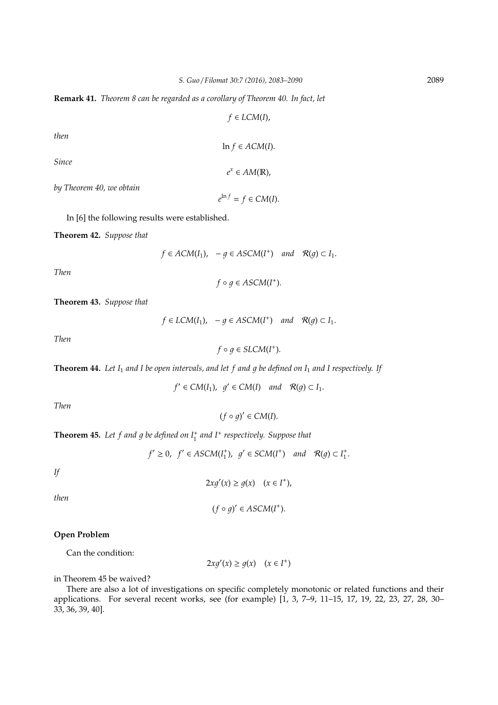**Remark 41.** *Theorem 8 can be regarded as a corollary of Theorem 40. In fact, let*

$$
f\in LCM(I),
$$

*then*

$$
\ln f \in ACM(I).
$$

 $e^x \in AM(\mathbb{R}),$ 

*Since*

*by Theorem 40, we obtain*

 $e^{\ln f} = f \in CM(I).$ 

In [6] the following results were established.

**Theorem 42.** *Suppose that*

$$
f \in ACM(I_1), -g \in ASCM(I^*)
$$
 and  $\mathcal{R}(g) \subset I_1$ .

*Then*

$$
f \circ g \in ASCII(I^+).
$$

**Theorem 43.** *Suppose that*

 $f \in LCM(I_1), -g \in ASCM(I^+)$  *and*  $\mathcal{R}(g) \subset I_1.$ 

*Then*

$$
f\circ g\in SLCM(I^+).
$$

**Theorem 44.** *Let I*<sup>1</sup> *and I be open intervals, and let f and* 1 *be defined on I*<sup>1</sup> *and I respectively. If*

 $f' \in CM(I_1)$ ,  $g' \in CM(I)$  *and*  $R(g) \subset I_1$ .

*Then*

$$
(f\circ g)' \in CM(I).
$$

**Theorem 45.** Let  $f$  and  $g$  be defined on  $I_1^+$  and  $I^+$  respectively. Suppose that

$$
f' \ge 0, \ f' \in ASCM(I_1^+), \ g' \in SCM(I^+) \quad and \quad \mathcal{R}(g) \subset I_1^+.
$$

*If*

$$
2xg'(x) \ge g(x) \quad (x \in I^+),
$$

*then*

$$
(f \circ g)' \in ASCM(I^+).
$$

# **Open Problem**

Can the condition:

 $2xg'(x) \ge g(x) \quad (x \in I^+)$ 

in Theorem 45 be waived?

There are also a lot of investigations on specific completely monotonic or related functions and their applications. For several recent works, see (for example) [1, 3, 7–9, 11–15, 17, 19, 22, 23, 27, 28, 30– 33, 36, 39, 40].